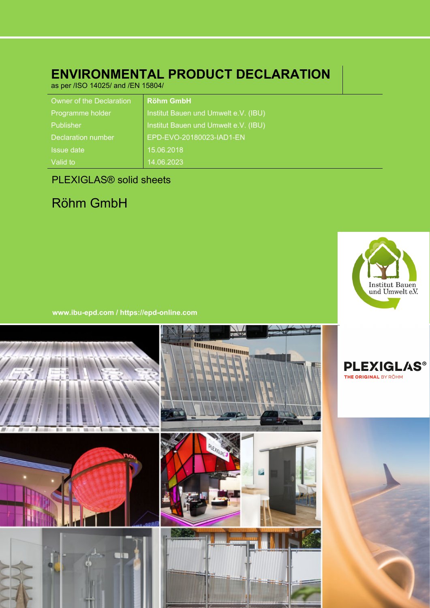# **ENVIRONMENTAL PRODUCT DECLARATION**

as per /ISO 14025/ and /EN 15804/

| Owner of the Declaration  | <b>Röhm GmbH</b>                     |
|---------------------------|--------------------------------------|
| Programme holder          | Institut Bauen und Umwelt e.V. (IBU) |
| Publisher                 | Institut Bauen und Umwelt e.V. (IBU) |
| <b>Declaration number</b> | EPD-EVO-20180023-IAD1-EN             |
| Issue date                | 15.06.2018                           |
| Valid to                  | 14.06.2023                           |

# PLEXIGLAS® solid sheets

# Röhm GmbH



**www.ibu-epd.com / https://epd-online.com**

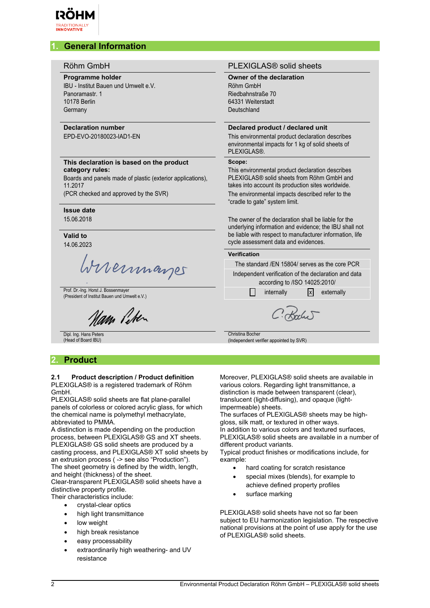

# **1. General Information**

| Röhm GmbH |
|-----------|
|           |

#### **Programme holder**

IBU - Institut Bauen und Umwelt e.V. Panoramastr. 1 10178 Berlin Germany

### **Declaration number**

EPD-EVO-20180023-IAD1-EN

#### **This declaration is based on the product category rules:**

Boards and panels made of plastic (exterior applications), 11.2017

(PCR checked and approved by the SVR)

# **Issue date**

15.06.2018

#### **Valid to** 14.06.2023

brennages

Prof. Dr.-Ing. Horst J. Bossenmayer<br>(President of Institut Bauen und Umwelt e.V.) internally internally internally internally externally

am liten

Dipl. Ing. Hans Peters (Head of Board IBU)

# **2. Product**

#### **2.1 Product description / Product definition** PLEXIGLAS® is a registered trademark of Röhm GmbH.

PLEXIGLAS® solid sheets are flat plane-parallel panels of colorless or colored acrylic glass, for which the chemical name is polymethyl methacrylate, abbreviated to PMMA.

A distinction is made depending on the production process, between PLEXIGLAS® GS and XT sheets. PLEXIGLAS® GS solid sheets are produced by a casting process, and PLEXIGLAS® XT solid sheets by an extrusion process ( -> see also "Production"). The sheet geometry is defined by the width, length, and height (thickness) of the sheet. Clear-transparent PLEXIGLAS® solid sheets have a

distinctive property profile. Their characteristics include:

- crystal-clear optics
- high light transmittance
- low weight
- high break resistance
- easy processability
- extraordinarily high weathering- and UV resistance

#### PLEXIGLAS<sup>®</sup> solid sheets

**Owner of the declaration** Röhm GmbH

Riedbahnstraße 70 64331 Weiterstadt Deutschland

#### **Declared product / declared unit**

This environmental product declaration describes environmental impacts for 1 kg of solid sheets of PLEXIGLAS®.

#### **Scope:**

This environmental product declaration describes PLEXIGLAS® solid sheets from Röhm GmbH and takes into account its production sites worldwide. The environmental impacts described refer to the "cradle to gate" system limit.

The owner of the declaration shall be liable for the underlying information and evidence; the IBU shall not be liable with respect to manufacturer information, life cycle assessment data and evidences.

#### **Verification**

The standard /EN 15804/ serves as the core PCR

Independent verification of the declaration and data according to /ISO 14025:2010/

Koche

Christina Bocher

(Independent verifier appointed by SVR)

Moreover, PLEXIGLAS® solid sheets are available in various colors. Regarding light transmittance, a distinction is made between transparent (clear), translucent (light-diffusing), and opaque (lightimpermeable) sheets.

The surfaces of PLEXIGLAS® sheets may be highgloss, silk matt, or textured in other ways. In addition to various colors and textured surfaces, PLEXIGLAS® solid sheets are available in a number of different product variants.

Typical product finishes or modifications include, for example:

- hard coating for scratch resistance
- special mixes (blends), for example to achieve defined property profiles
- surface marking

PLEXIGLAS® solid sheets have not so far been subject to EU harmonization legislation. The respective national provisions at the point of use apply for the use of PLEXIGLAS® solid sheets.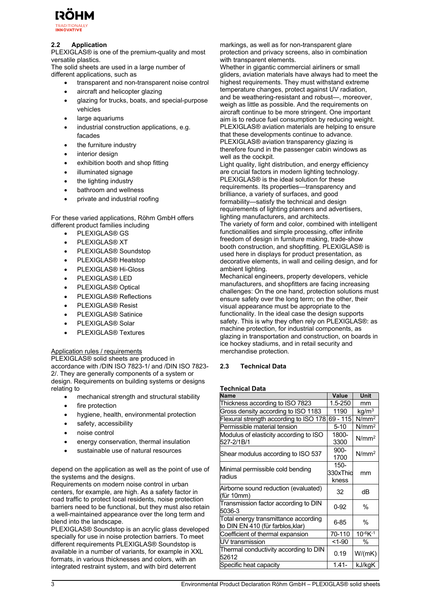

#### **2.2 Application**

PLEXIGLAS® is one of the premium-quality and most versatile plastics.

The solid sheets are used in a large number of different applications, such as

- transparent and non-transparent noise control
- aircraft and helicopter glazing
- glazing for trucks, boats, and special-purpose vehicles
- large aquariums
- industrial construction applications, e.g. facades
- the furniture industry
- interior design
- exhibition booth and shop fitting
- illuminated signage
- the lighting industry
- bathroom and wellness
- private and industrial roofing

For these varied applications, Röhm GmbH offers different product families including

- PLEXIGLAS® GS
- PLEXIGLAS® XT
- PLEXIGLAS® Soundstop
- PLEXIGLAS® Heatstop
- PLEXIGLAS® Hi-Gloss
- PLEXIGLAS® LED
- PLEXIGLAS® Optical
- PLEXIGLAS® Reflections
- PLEXIGLAS® Resist
- PLEXIGLAS® Satinice
- PLEXIGLAS® Solar
- PLEXIGLAS® Textures

#### Application rules / requirements

PLEXIGLAS® solid sheets are produced in accordance with /DIN ISO 7823-1/ and /DIN ISO 7823- 2/. They are generally components of a system or design. Requirements on building systems or designs relating to

- mechanical strength and structural stability
- fire protection
- hygiene, health, environmental protection
- safety, accessibility
- noise control
- energy conservation, thermal insulation
- sustainable use of natural resources

depend on the application as well as the point of use of the systems and the designs.

Requirements on modern noise control in urban centers, for example, are high. As a safety factor in road traffic to protect local residents, noise protection barriers need to be functional, but they must also retain a well-maintained appearance over the long term and blend into the landscape.

PLEXIGLAS® Soundstop is an acrylic glass developed specially for use in noise protection barriers. To meet different requirements PLEXIGLAS® Soundstop is available in a number of variants, for example in XXL formats, in various thicknesses and colors, with an integrated restraint system, and with bird deterrent

markings, as well as for non-transparent glare protection and privacy screens, also in combination with transparent elements.

Whether in gigantic commercial airliners or small gliders, aviation materials have always had to meet the highest requirements. They must withstand extreme temperature changes, protect against UV radiation, and be weathering-resistant and robust—, moreover, weigh as little as possible. And the requirements on aircraft continue to be more stringent. One important aim is to reduce fuel consumption by reducing weight. PLEXIGLAS® aviation materials are helping to ensure that these developments continue to advance. PLEXIGLAS® aviation transparency glazing is therefore found in the passenger cabin windows as well as the cockpit.

Light quality, light distribution, and energy efficiency are crucial factors in modern lighting technology. PLEXIGLAS® is the ideal solution for these requirements. Its properties—transparency and brilliance, a variety of surfaces, and good formability—satisfy the technical and design requirements of lighting planners and advertisers, lighting manufacturers, and architects.

The variety of form and color, combined with intelligent functionalities and simple processing, offer infinite freedom of design in furniture making, trade-show booth construction, and shopfitting. PLEXIGLAS® is used here in displays for product presentation, as decorative elements, in wall and ceiling design, and for ambient lighting.

Mechanical engineers, property developers, vehicle manufacturers, and shopfitters are facing increasing challenges: On the one hand, protection solutions must ensure safety over the long term; on the other, their visual appearance must be appropriate to the functionality. In the ideal case the design supports safety. This is why they often rely on PLEXIGLAS®: as machine protection, for industrial components, as glazing in transportation and construction, on boards in ice hockey stadiums, and in retail security and merchandise protection.

# **2.3 Technical Data**

#### **Technical Data**

| <b>Name</b>                                                              | Value                        | Unit              |  |
|--------------------------------------------------------------------------|------------------------------|-------------------|--|
| Thickness according to ISO 7823                                          | $1.5 - 250$                  | mm                |  |
| Gross density according to ISO 1183                                      | 1190                         | kq/m <sup>3</sup> |  |
| Flexural strength according to ISO 178                                   | 69 - 115                     | N/mm <sup>2</sup> |  |
| Permissible material tension                                             | $5-10$                       | N/mm <sup>2</sup> |  |
| Modulus of elasticity according to ISO<br>527-2/1B/1                     | 1800-<br>3300                | N/mm <sup>2</sup> |  |
| Shear modulus according to ISO 537                                       | $900 -$<br>1700              | N/mm <sup>2</sup> |  |
| Minimal permissible cold bending<br>lradius                              | $150 -$<br>330xThid<br>kness | mm                |  |
| Airborne sound reduction (evaluated)<br>(für 10mm)                       | 32                           | dB                |  |
| Transmission factor according to DIN<br>5036-3                           | $0 - 92$                     | $\%$              |  |
| Total energy transmittance according<br>to DIN EN 410 (für farblos,klar) | $6 - 85$                     | %                 |  |
| Coefficient of thermal expansion                                         | 70-110                       | $10^{-6}$ K $-1$  |  |
| UV transmission                                                          | $< 1 - 90$                   | %                 |  |
| Thermal conductivity according to DIN<br>52612                           | 0.19                         | W/(mK)            |  |
| Specific heat capacity                                                   | $1.41 -$                     | kJ/kgK            |  |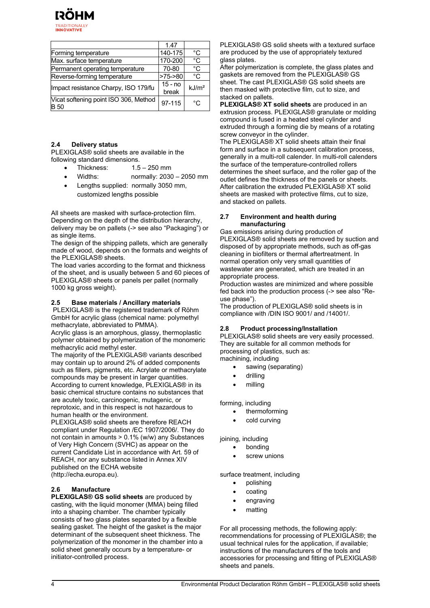

|                                               | 1.47               |                   |
|-----------------------------------------------|--------------------|-------------------|
| Forming temperature                           | 140-175            | °C                |
| Max. surface temperature                      | 170-200            | °C                |
| Permanent operating temperature               | 70-80              | °C                |
| Reverse-forming temperature                   | $>75-80$           | °C                |
| Impact resistance Charpy, ISO 179/fu          | $15 - no$<br>break | kJ/m <sup>2</sup> |
| Vicat softening point ISO 306, Method<br>B 50 | 97-115             | $^{\circ}$ C      |

#### **2.4 Delivery status**

PLEXIGLAS® solid sheets are available in the following standard dimensions.

- Thickness: 1.5 250 mm
- Widths: normally: 2030 2050 mm
- Lengths supplied: normally 3050 mm, customized lengths possible

All sheets are masked with surface-protection film. Depending on the depth of the distribution hierarchy, delivery may be on pallets (-> see also "Packaging") or as single items.

The design of the shipping pallets, which are generally made of wood, depends on the formats and weights of the PLEXIGLAS® sheets.

The load varies according to the format and thickness of the sheet, and is usually between 5 and 60 pieces of PLEXIGLAS® sheets or panels per pallet (normally 1000 kg gross weight).

#### **2.5 Base materials / Ancillary materials**

 PLEXIGLAS® is the registered trademark of Röhm GmbH for acrylic glass (chemical name: polymethyl methacrylate, abbreviated to PMMA).

Acrylic glass is an amorphous, glassy, thermoplastic polymer obtained by polymerization of the monomeric methacrylic acid methyl ester.

The majority of the PLEXIGLAS® variants described may contain up to around 2% of added components such as fillers, pigments, etc. Acrylate or methacrylate compounds may be present in larger quantities. According to current knowledge, PLEXIGLAS® in its basic chemical structure contains no substances that are acutely toxic, carcinogenic, mutagenic, or reprotoxic, and in this respect is not hazardous to human health or the environment.

PLEXIGLAS® solid sheets are therefore REACH compliant under Regulation /EC 1907/2006/. They do not contain in amounts > 0.1% (w/w) any Substances of Very High Concern (SVHC) as appear on the current Candidate List in accordance with Art. 59 of REACH, nor any substance listed in Annex XIV published on the ECHA website (http://echa.europa.eu).

#### **2.6 Manufacture**

**PLEXIGLAS® GS solid sheets** are produced by casting, with the liquid monomer (MMA) being filled into a shaping chamber. The chamber typically consists of two glass plates separated by a flexible sealing gasket. The height of the gasket is the major determinant of the subsequent sheet thickness. The polymerization of the monomer in the chamber into a solid sheet generally occurs by a temperature- or initiator-controlled process.

PLEXIGLAS® GS solid sheets with a textured surface are produced by the use of appropriately textured glass plates.

After polymerization is complete, the glass plates and gaskets are removed from the PLEXIGLAS® GS sheet. The cast PLEXIGLAS® GS solid sheets are then masked with protective film, cut to size, and stacked on pallets.

**PLEXIGLAS® XT solid sheets** are produced in an extrusion process. PLEXIGLAS® granulate or molding compound is fused in a heated steel cylinder and extruded through a forming die by means of a rotating screw conveyor in the cylinder.

The PLEXIGLAS® XT solid sheets attain their final form and surface in a subsequent calibration process, generally in a multi-roll calender. In multi-roll calenders the surface of the temperature-controlled rollers determines the sheet surface, and the roller gap of the outlet defines the thickness of the panels or sheets. After calibration the extruded PLEXIGLAS® XT solid sheets are masked with protective films, cut to size, and stacked on pallets.

#### **2.7 Environment and health during manufacturing**

Gas emissions arising during production of PLEXIGLAS® solid sheets are removed by suction and disposed of by appropriate methods, such as off-gas cleaning in biofilters or thermal aftertreatment. In normal operation only very small quantities of wastewater are generated, which are treated in an appropriate process.

Production wastes are minimized and where possible fed back into the production process (-> see also "Reuse phase").

The production of PLEXIGLAS® solid sheets is in compliance with /DIN ISO 9001/ and /14001/.

#### **2.8 Product processing/Installation**

PLEXIGLAS® solid sheets are very easily processed. They are suitable for all common methods for processing of plastics, such as:

- machining, including
	- sawing (separating)
	- drilling
	- milling

forming, including

- thermoforming
- cold curving

#### joining, including

- bonding
- screw unions

#### surface treatment, including

- polishing
- coating
- engraving
- matting

For all processing methods, the following apply: recommendations for processing of PLEXIGLAS®; the usual technical rules for the application, if available; instructions of the manufacturers of the tools and accessories for processing and fitting of PLEXIGLAS® sheets and panels.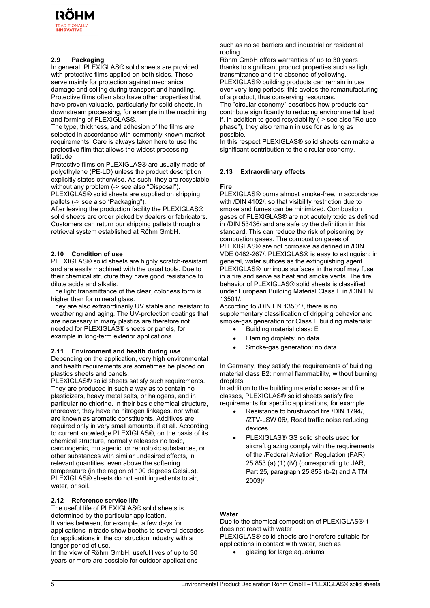

## **2.9 Packaging**

In general, PLEXIGLAS® solid sheets are provided with protective films applied on both sides. These serve mainly for protection against mechanical damage and soiling during transport and handling. Protective films often also have other properties that have proven valuable, particularly for solid sheets, in downstream processing, for example in the machining and forming of PLEXIGLAS®.

The type, thickness, and adhesion of the films are selected in accordance with commonly known market requirements. Care is always taken here to use the protective film that allows the widest processing latitude.

Protective films on PLEXIGLAS® are usually made of polyethylene (PE-LD) unless the product description explicitly states otherwise. As such, they are recyclable without any problem (-> see also "Disposal"). PLEXIGLAS® solid sheets are supplied on shipping

pallets (-> see also "Packaging").

After leaving the production facility the PLEXIGLAS® solid sheets are order picked by dealers or fabricators. Customers can return our shipping pallets through a retrieval system established at Röhm GmbH.

#### **2.10 Condition of use**

PLEXIGLAS® solid sheets are highly scratch-resistant and are easily machined with the usual tools. Due to their chemical structure they have good resistance to dilute acids and alkalis.

The light transmittance of the clear, colorless form is higher than for mineral glass.

They are also extraordinarily UV stable and resistant to weathering and aging. The UV-protection coatings that are necessary in many plastics are therefore not needed for PLEXIGLAS® sheets or panels, for example in long-term exterior applications.

#### **2.11 Environment and health during use**

Depending on the application, very high environmental and health requirements are sometimes be placed on plastics sheets and panels.

PLEXIGLAS® solid sheets satisfy such requirements. They are produced in such a way as to contain no plasticizers, heavy metal salts, or halogens, and in particular no chlorine. In their basic chemical structure, moreover, they have no nitrogen linkages, nor what are known as aromatic constituents. Additives are required only in very small amounts, if at all. According to current knowledge PLEXIGLAS®, on the basis of its chemical structure, normally releases no toxic, carcinogenic, mutagenic, or reprotoxic substances, or other substances with similar undesired effects, in relevant quantities, even above the softening temperature (in the region of 100 degrees Celsius). PLEXIGLAS® sheets do not emit ingredients to air, water, or soil.

#### **2.12 Reference service life**

The useful life of PLEXIGLAS® solid sheets is determined by the particular application. It varies between, for example, a few days for applications in trade-show booths to several decades for applications in the construction industry with a longer period of use.

In the view of Röhm GmbH, useful lives of up to 30 years or more are possible for outdoor applications such as noise barriers and industrial or residential roofing.

Röhm GmbH offers warranties of up to 30 years thanks to significant product properties such as light transmittance and the absence of yellowing. PLEXIGLAS® building products can remain in use over very long periods; this avoids the remanufacturing of a product, thus conserving resources.

The "circular economy" describes how products can contribute significantly to reducing environmental load if, in addition to good recyclability (-> see also "Re-use phase"), they also remain in use for as long as possible.

In this respect PLEXIGLAS® solid sheets can make a significant contribution to the circular economy.

#### **2.13 Extraordinary effects**

#### **Fire**

PLEXIGLAS® burns almost smoke-free, in accordance with /DIN 4102/, so that visibility restriction due to smoke and fumes can be minimized. Combustion gases of PLEXIGLAS® are not acutely toxic as defined in /DIN 53436/ and are safe by the definition in this standard. This can reduce the risk of poisoning by combustion gases. The combustion gases of PLEXIGLAS® are not corrosive as defined in /DIN VDE 0482-267/. PLEXIGLAS® is easy to extinguish; in general, water suffices as the extinguishing agent. PLEXIGLAS® luminous surfaces in the roof may fuse in a fire and serve as heat and smoke vents. The fire behavior of PLEXIGLAS® solid sheets is classified under European Building Material Class E in /DIN EN 13501/.

According to /DIN EN 13501/, there is no supplementary classification of dripping behavior and smoke-gas generation for Class E building materials:

- Building material class: E
- Flaming droplets: no data
- Smoke-gas generation: no data

In Germany, they satisfy the requirements of building material class B2: normal flammability, without burning droplets.

In addition to the building material classes and fire classes, PLEXIGLAS® solid sheets satisfy fire requirements for specific applications, for example

- Resistance to brushwood fire /DIN 1794/, /ZTV-LSW 06/, Road traffic noise reducing devices
- PLEXIGLAS® GS solid sheets used for aircraft glazing comply with the requirements of the /Federal Aviation Regulation (FAR) 25.853 (a) (1) (iV) (corresponding to JAR, Part 25, paragraph 25.853 (b-2) and AITM 2003)/

#### **Water**

Due to the chemical composition of PLEXIGLAS® it does not react with water. PLEXIGLAS® solid sheets are therefore suitable for

applications in contact with water, such as

glazing for large aquariums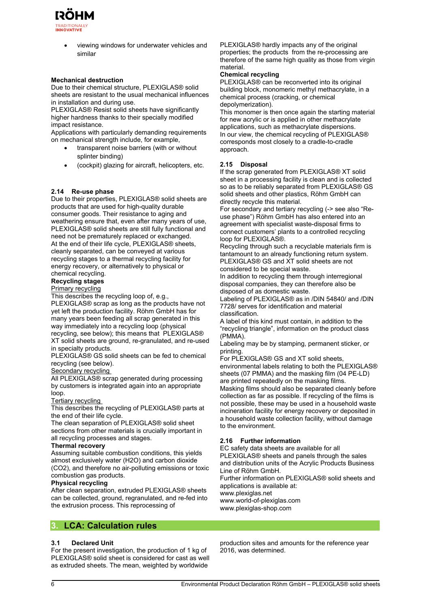

 viewing windows for underwater vehicles and similar

#### **Mechanical destruction**

Due to their chemical structure, PLEXIGLAS® solid sheets are resistant to the usual mechanical influences in installation and during use.

PLEXIGLAS® Resist solid sheets have significantly higher hardness thanks to their specially modified impact resistance.

Applications with particularly demanding requirements on mechanical strength include, for example,

- transparent noise barriers (with or without splinter binding)
- (cockpit) glazing for aircraft, helicopters, etc.

#### **2.14 Re-use phase**

Due to their properties, PLEXIGLAS® solid sheets are products that are used for high-quality durable consumer goods. Their resistance to aging and weathering ensure that, even after many years of use, PLEXIGLAS® solid sheets are still fully functional and need not be prematurely replaced or exchanged. At the end of their life cycle, PLEXIGLAS® sheets, cleanly separated, can be conveyed at various recycling stages to a thermal recycling facility for energy recovery, or alternatively to physical or chemical recycling.

# **Recycling stages**

# Primary recycling

This describes the recycling loop of, e.g.,

PLEXIGLAS® scrap as long as the products have not yet left the production facility. Röhm GmbH has for many years been feeding all scrap generated in this way immediately into a recycling loop (physical recycling, see below); this means that PLEXIGLAS® XT solid sheets are ground, re-granulated, and re-used in specialty products.

PLEXIGLAS® GS solid sheets can be fed to chemical recycling (see below).

#### Secondary recycling

All PLEXIGLAS® scrap generated during processing by customers is integrated again into an appropriate loop.

#### Tertiary recycling

This describes the recycling of PLEXIGLAS® parts at the end of their life cycle.

The clean separation of PLEXIGLAS® solid sheet sections from other materials is crucially important in all recycling processes and stages.

#### **Thermal recovery**

Assuming suitable combustion conditions, this yields almost exclusively water (H2O) and carbon dioxide (CO2), and therefore no air-polluting emissions or toxic combustion gas products.

#### **Physical recycling**

After clean separation, extruded PLEXIGLAS® sheets can be collected, ground, regranulated, and re-fed into the extrusion process. This reprocessing of

# **3. LCA: Calculation rules**

PLEXIGLAS® hardly impacts any of the original properties; the products from the re-processing are therefore of the same high quality as those from virgin material.

#### **Chemical recycling**

PLEXIGLAS® can be reconverted into its original building block, monomeric methyl methacrylate, in a chemical process (cracking, or chemical depolymerization).

This monomer is then once again the starting material for new acrylic or is applied in other methacrylate applications, such as methacrylate dispersions. In our view, the chemical recycling of PLEXIGLAS® corresponds most closely to a cradle-to-cradle approach.

#### **2.15 Disposal**

If the scrap generated from PLEXIGLAS® XT solid sheet in a processing facility is clean and is collected so as to be reliably separated from PLEXIGLAS® GS solid sheets and other plastics, Röhm GmbH can directly recycle this material.

For secondary and tertiary recycling (-> see also "Reuse phase") Röhm GmbH has also entered into an agreement with specialist waste-disposal firms to connect customers' plants to a controlled recycling loop for PLEXIGLAS®.

Recycling through such a recyclable materials firm is tantamount to an already functioning return system. PLEXIGLAS® GS and XT solid sheets are not considered to be special waste.

In addition to recycling them through interregional disposal companies, they can therefore also be disposed of as domestic waste.

Labeling of PLEXIGLAS® as in /DIN 54840/ and /DIN 7728/ serves for identification and material classification.

A label of this kind must contain, in addition to the "recycling triangle", information on the product class (PMMA).

Labeling may be by stamping, permanent sticker, or printing.

For PLEXIGLAS® GS and XT solid sheets, environmental labels relating to both the PLEXIGLAS® sheets (07 PMMA) and the masking film (04 PE-LD) are printed repeatedly on the masking films.

Masking films should also be separated cleanly before collection as far as possible. If recycling of the films is not possible, these may be used in a household waste incineration facility for energy recovery or deposited in a household waste collection facility, without damage to the environment.

#### **2.16 Further information**

EC safety data sheets are available for all PLEXIGLAS® sheets and panels through the sales and distribution units of the Acrylic Products Business Line of Röhm GmbH.

Further information on PLEXIGLAS® solid sheets and applications is available at:

www.plexiglas.net www.world-of-plexiglas.com

www.plexiglas-shop.com

#### **3.1 Declared Unit**

For the present investigation, the production of 1 kg of PLEXIGLAS® solid sheet is considered for cast as well as extruded sheets. The mean, weighted by worldwide

production sites and amounts for the reference year 2016, was determined.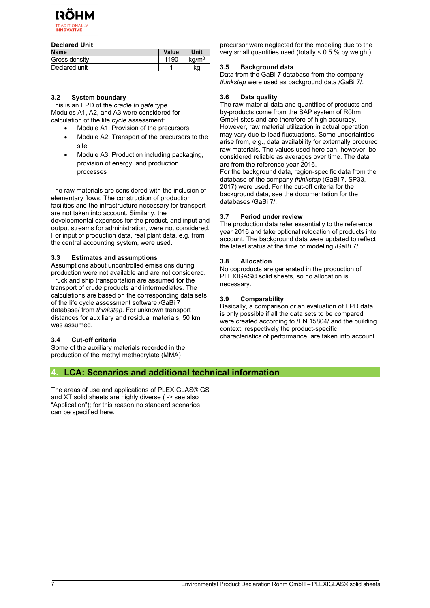

#### **Declared Unit**

| <b>Name</b>   | Value | Unit            |
|---------------|-------|-----------------|
| Gross density | 1190  | $\text{ka/m}^3$ |
| Declared unit |       | kg              |

#### **3.2 System boundary**

This is an EPD of the *cradle to gate* type. Modules A1, A2, and A3 were considered for calculation of the life cycle assessment:

- Module A1: Provision of the precursors
- Module A2: Transport of the precursors to the site
- Module A3: Production including packaging, provision of energy, and production processes

The raw materials are considered with the inclusion of elementary flows. The construction of production facilities and the infrastructure necessary for transport are not taken into account. Similarly, the developmental expenses for the product, and input and output streams for administration, were not considered. For input of production data, real plant data, e.g. from the central accounting system, were used.

#### **3.3 Estimates and assumptions**

Assumptions about uncontrolled emissions during production were not available and are not considered. Truck and ship transportation are assumed for the transport of crude products and intermediates. The calculations are based on the corresponding data sets of the life cycle assessment software /GaBi 7 database/ from *thinkstep*. For unknown transport distances for auxiliary and residual materials, 50 km was assumed.

# **3.4 Cut-off criteria**

Some of the auxiliary materials recorded in the production of the methyl methacrylate (MMA)

precursor were neglected for the modeling due to the very small quantities used (totally  $\leq 0.5$  % by weight).

# **3.5 Background data**

Data from the GaBi 7 database from the company *thinkstep* were used as background data /GaBi 7/.

#### **3.6 Data quality**

The raw-material data and quantities of products and by-products come from the SAP system of Röhm GmbH sites and are therefore of high accuracy. However, raw material utilization in actual operation may vary due to load fluctuations. Some uncertainties arise from, e.g., data availability for externally procured raw materials. The values used here can, however, be considered reliable as averages over time. The data are from the reference year 2016. For the background data, region-specific data from the database of the company *thinkstep* (GaBi 7, SP33, 2017) were used. For the cut-off criteria for the background data, see the documentation for the databases /GaBi 7/.

# **3.7 Period under review**

The production data refer essentially to the reference year 2016 and take optional relocation of products into account. The background data were updated to reflect the latest status at the time of modeling /GaBi 7/.

#### **3.8 Allocation**

No coproducts are generated in the production of PLEXIGAS® solid sheets, so no allocation is necessary.

#### **3.9 Comparability**

.

Basically, a comparison or an evaluation of EPD data is only possible if all the data sets to be compared were created according to /EN 15804/ and the building context, respectively the product-specific characteristics of performance, are taken into account.

# **4. LCA: Scenarios and additional technical information**

The areas of use and applications of PLEXIGLAS® GS and XT solid sheets are highly diverse ( -> see also "Application"); for this reason no standard scenarios can be specified here.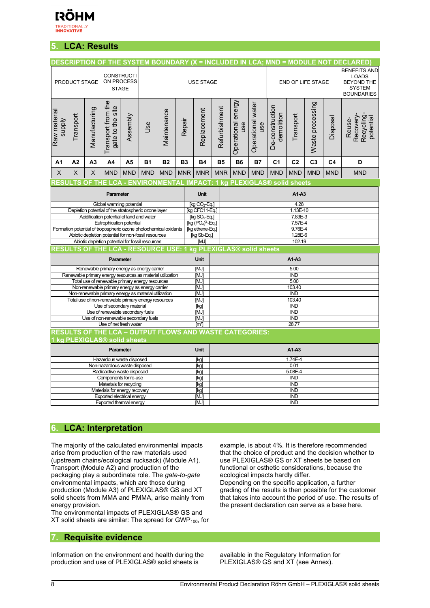

# **5. LCA: Results**

| <b>BENEFITS AND</b><br><b>CONSTRUCTI</b><br><b>LOADS</b><br>ON PROCESS<br><b>BEYOND THE</b><br>PRODUCT STAGE<br><b>USE STAGE</b><br>END OF LIFE STAGE<br><b>SYSTEM</b><br><b>STAGE</b><br><b>BOUNDARIES</b><br>Transport from the<br>Operational energy<br>Waste processing<br>Operational water<br>De-construction<br>gate to the site<br>Refurbishment<br>Manufacturing<br>Replacement<br>Maintenance<br>Raw material<br>demolition<br>Transport<br>Transport<br>Assembly<br>Recovery-<br>Recycling<br>Disposal<br>potential<br>Reuse-<br><b>Alddns</b><br>Repair<br>Jse<br>use<br>use<br>C <sub>3</sub><br>C <sub>2</sub><br>A2<br>A <sub>3</sub><br>A4<br>A5<br><b>B1</b><br><b>B2</b><br>B <sub>3</sub><br><b>B4</b><br><b>B5</b><br><b>B6</b><br><b>B7</b><br>C <sub>1</sub><br>C <sub>4</sub><br>D<br>A1<br><b>MNR</b><br><b>MNR</b><br><b>MND</b><br><b>MND</b><br>X<br>X<br><b>MND</b><br><b>MND</b><br><b>MND</b><br><b>MND</b><br><b>MNR</b><br><b>MND</b><br><b>MND</b><br><b>MND</b><br>X<br><b>MND</b><br><b>MND</b><br>RESULTS OF THE LCA - ENVIRONMENTAL IMPACT: 1 kg PLEXIGLAS® solid sheets<br><b>Unit</b><br>A1-A3<br>Parameter<br>4.28<br>Global warming potential<br>[kg CO <sub>2</sub> -Eq.]<br>[kg CFC11-Eq.]<br>1.13E-10<br>Depletion potential of the stratospheric ozone layer<br>Acidification potential of land and water<br>[kg $SO_2$ -Eq.]<br>7.83E-3<br>Eutrophication potential<br>$[kg (PO4)3-Eq.]$<br>7.57E-4<br>Formation potential of tropospheric ozone photochemical oxidants<br>[kg ethene-Eq.]<br>9.76E-4<br>Abiotic depletion potential for non-fossil resources<br>[kg Sb-Eq.]<br>1.28E-6<br>Abiotic depletion potential for fossil resources<br>[MJ]<br>102.19<br>RESULTS OF THE LCA - RESOURCE USE: 1 kg PLEXIGLAS® solid sheets<br><b>Unit</b><br>$A1-A3$<br>Parameter<br><b>MJI</b><br>5.00<br>Renewable primary energy as energy carrier<br>Renewable primary energy resources as material utilization<br><b>IND</b><br>[MJ]<br>5.00<br>Total use of renewable primary energy resources<br>[MJ]<br>Non-renewable primary energy as energy carrier<br>[MJ]<br>103.40<br>Non-renewable primary energy as material utilization<br>[MJ]<br><b>IND</b><br>Total use of non-renewable primary energy resources<br>103.40<br>[MJ]<br>Use of secondary material<br><b>IND</b><br>[kg]<br>Use of renewable secondary fuels<br><b>IND</b><br>[MJ]<br>Use of non-renewable secondary fuels<br>[MJ]<br><b>IND</b><br>28.77<br>Use of net fresh water<br>$\lceil m^3 \rceil$<br><b>RESULTS OF THE LCA - OUTPUT FLOWS AND WASTE CATEGORIES:</b><br>kg PLEXIGLAS® solid sheets<br><b>Unit</b><br>$A1-A3$<br>Parameter<br>1.74E-4<br>Hazardous waste disposed<br>[kg]<br>Non-hazardous waste disposed<br>0.01<br>[k]<br>5.08E-4<br>Radioactive waste disposed<br>[kg]<br>Components for re-use<br><b>IND</b><br>[kg]<br>Materials for recycling<br><b>IND</b><br>[kg]<br>Materials for energy recovery<br>[kg]<br><b>IND</b> | <b>DESCRIPTION OF THE SYSTEM BOUNDARY (X = INCLUDED IN LCA; MND = MODULE NOT DECLARED)</b> |                    |  |  |  |  |  |  |  |  |  |
|---------------------------------------------------------------------------------------------------------------------------------------------------------------------------------------------------------------------------------------------------------------------------------------------------------------------------------------------------------------------------------------------------------------------------------------------------------------------------------------------------------------------------------------------------------------------------------------------------------------------------------------------------------------------------------------------------------------------------------------------------------------------------------------------------------------------------------------------------------------------------------------------------------------------------------------------------------------------------------------------------------------------------------------------------------------------------------------------------------------------------------------------------------------------------------------------------------------------------------------------------------------------------------------------------------------------------------------------------------------------------------------------------------------------------------------------------------------------------------------------------------------------------------------------------------------------------------------------------------------------------------------------------------------------------------------------------------------------------------------------------------------------------------------------------------------------------------------------------------------------------------------------------------------------------------------------------------------------------------------------------------------------------------------------------------------------------------------------------------------------------------------------------------------------------------------------------------------------------------------------------------------------------------------------------------------------------------------------------------------------------------------------------------------------------------------------------------------------------------------------------------------------------------------------------------------------------------------------------------------------------------------------------------------------------------------------------------------------------------------------------------------------------------------------------------------------------------------------------------------------------------------------------------------------------------------------------------------|--------------------------------------------------------------------------------------------|--------------------|--|--|--|--|--|--|--|--|--|
|                                                                                                                                                                                                                                                                                                                                                                                                                                                                                                                                                                                                                                                                                                                                                                                                                                                                                                                                                                                                                                                                                                                                                                                                                                                                                                                                                                                                                                                                                                                                                                                                                                                                                                                                                                                                                                                                                                                                                                                                                                                                                                                                                                                                                                                                                                                                                                                                                                                                                                                                                                                                                                                                                                                                                                                                                                                                                                                                                               |                                                                                            |                    |  |  |  |  |  |  |  |  |  |
|                                                                                                                                                                                                                                                                                                                                                                                                                                                                                                                                                                                                                                                                                                                                                                                                                                                                                                                                                                                                                                                                                                                                                                                                                                                                                                                                                                                                                                                                                                                                                                                                                                                                                                                                                                                                                                                                                                                                                                                                                                                                                                                                                                                                                                                                                                                                                                                                                                                                                                                                                                                                                                                                                                                                                                                                                                                                                                                                                               |                                                                                            |                    |  |  |  |  |  |  |  |  |  |
|                                                                                                                                                                                                                                                                                                                                                                                                                                                                                                                                                                                                                                                                                                                                                                                                                                                                                                                                                                                                                                                                                                                                                                                                                                                                                                                                                                                                                                                                                                                                                                                                                                                                                                                                                                                                                                                                                                                                                                                                                                                                                                                                                                                                                                                                                                                                                                                                                                                                                                                                                                                                                                                                                                                                                                                                                                                                                                                                                               |                                                                                            |                    |  |  |  |  |  |  |  |  |  |
|                                                                                                                                                                                                                                                                                                                                                                                                                                                                                                                                                                                                                                                                                                                                                                                                                                                                                                                                                                                                                                                                                                                                                                                                                                                                                                                                                                                                                                                                                                                                                                                                                                                                                                                                                                                                                                                                                                                                                                                                                                                                                                                                                                                                                                                                                                                                                                                                                                                                                                                                                                                                                                                                                                                                                                                                                                                                                                                                                               |                                                                                            |                    |  |  |  |  |  |  |  |  |  |
|                                                                                                                                                                                                                                                                                                                                                                                                                                                                                                                                                                                                                                                                                                                                                                                                                                                                                                                                                                                                                                                                                                                                                                                                                                                                                                                                                                                                                                                                                                                                                                                                                                                                                                                                                                                                                                                                                                                                                                                                                                                                                                                                                                                                                                                                                                                                                                                                                                                                                                                                                                                                                                                                                                                                                                                                                                                                                                                                                               |                                                                                            |                    |  |  |  |  |  |  |  |  |  |
|                                                                                                                                                                                                                                                                                                                                                                                                                                                                                                                                                                                                                                                                                                                                                                                                                                                                                                                                                                                                                                                                                                                                                                                                                                                                                                                                                                                                                                                                                                                                                                                                                                                                                                                                                                                                                                                                                                                                                                                                                                                                                                                                                                                                                                                                                                                                                                                                                                                                                                                                                                                                                                                                                                                                                                                                                                                                                                                                                               |                                                                                            |                    |  |  |  |  |  |  |  |  |  |
|                                                                                                                                                                                                                                                                                                                                                                                                                                                                                                                                                                                                                                                                                                                                                                                                                                                                                                                                                                                                                                                                                                                                                                                                                                                                                                                                                                                                                                                                                                                                                                                                                                                                                                                                                                                                                                                                                                                                                                                                                                                                                                                                                                                                                                                                                                                                                                                                                                                                                                                                                                                                                                                                                                                                                                                                                                                                                                                                                               |                                                                                            |                    |  |  |  |  |  |  |  |  |  |
|                                                                                                                                                                                                                                                                                                                                                                                                                                                                                                                                                                                                                                                                                                                                                                                                                                                                                                                                                                                                                                                                                                                                                                                                                                                                                                                                                                                                                                                                                                                                                                                                                                                                                                                                                                                                                                                                                                                                                                                                                                                                                                                                                                                                                                                                                                                                                                                                                                                                                                                                                                                                                                                                                                                                                                                                                                                                                                                                                               |                                                                                            |                    |  |  |  |  |  |  |  |  |  |
|                                                                                                                                                                                                                                                                                                                                                                                                                                                                                                                                                                                                                                                                                                                                                                                                                                                                                                                                                                                                                                                                                                                                                                                                                                                                                                                                                                                                                                                                                                                                                                                                                                                                                                                                                                                                                                                                                                                                                                                                                                                                                                                                                                                                                                                                                                                                                                                                                                                                                                                                                                                                                                                                                                                                                                                                                                                                                                                                                               |                                                                                            |                    |  |  |  |  |  |  |  |  |  |
|                                                                                                                                                                                                                                                                                                                                                                                                                                                                                                                                                                                                                                                                                                                                                                                                                                                                                                                                                                                                                                                                                                                                                                                                                                                                                                                                                                                                                                                                                                                                                                                                                                                                                                                                                                                                                                                                                                                                                                                                                                                                                                                                                                                                                                                                                                                                                                                                                                                                                                                                                                                                                                                                                                                                                                                                                                                                                                                                                               |                                                                                            |                    |  |  |  |  |  |  |  |  |  |
|                                                                                                                                                                                                                                                                                                                                                                                                                                                                                                                                                                                                                                                                                                                                                                                                                                                                                                                                                                                                                                                                                                                                                                                                                                                                                                                                                                                                                                                                                                                                                                                                                                                                                                                                                                                                                                                                                                                                                                                                                                                                                                                                                                                                                                                                                                                                                                                                                                                                                                                                                                                                                                                                                                                                                                                                                                                                                                                                                               |                                                                                            |                    |  |  |  |  |  |  |  |  |  |
|                                                                                                                                                                                                                                                                                                                                                                                                                                                                                                                                                                                                                                                                                                                                                                                                                                                                                                                                                                                                                                                                                                                                                                                                                                                                                                                                                                                                                                                                                                                                                                                                                                                                                                                                                                                                                                                                                                                                                                                                                                                                                                                                                                                                                                                                                                                                                                                                                                                                                                                                                                                                                                                                                                                                                                                                                                                                                                                                                               |                                                                                            |                    |  |  |  |  |  |  |  |  |  |
|                                                                                                                                                                                                                                                                                                                                                                                                                                                                                                                                                                                                                                                                                                                                                                                                                                                                                                                                                                                                                                                                                                                                                                                                                                                                                                                                                                                                                                                                                                                                                                                                                                                                                                                                                                                                                                                                                                                                                                                                                                                                                                                                                                                                                                                                                                                                                                                                                                                                                                                                                                                                                                                                                                                                                                                                                                                                                                                                                               |                                                                                            |                    |  |  |  |  |  |  |  |  |  |
|                                                                                                                                                                                                                                                                                                                                                                                                                                                                                                                                                                                                                                                                                                                                                                                                                                                                                                                                                                                                                                                                                                                                                                                                                                                                                                                                                                                                                                                                                                                                                                                                                                                                                                                                                                                                                                                                                                                                                                                                                                                                                                                                                                                                                                                                                                                                                                                                                                                                                                                                                                                                                                                                                                                                                                                                                                                                                                                                                               |                                                                                            |                    |  |  |  |  |  |  |  |  |  |
|                                                                                                                                                                                                                                                                                                                                                                                                                                                                                                                                                                                                                                                                                                                                                                                                                                                                                                                                                                                                                                                                                                                                                                                                                                                                                                                                                                                                                                                                                                                                                                                                                                                                                                                                                                                                                                                                                                                                                                                                                                                                                                                                                                                                                                                                                                                                                                                                                                                                                                                                                                                                                                                                                                                                                                                                                                                                                                                                                               |                                                                                            |                    |  |  |  |  |  |  |  |  |  |
|                                                                                                                                                                                                                                                                                                                                                                                                                                                                                                                                                                                                                                                                                                                                                                                                                                                                                                                                                                                                                                                                                                                                                                                                                                                                                                                                                                                                                                                                                                                                                                                                                                                                                                                                                                                                                                                                                                                                                                                                                                                                                                                                                                                                                                                                                                                                                                                                                                                                                                                                                                                                                                                                                                                                                                                                                                                                                                                                                               |                                                                                            |                    |  |  |  |  |  |  |  |  |  |
|                                                                                                                                                                                                                                                                                                                                                                                                                                                                                                                                                                                                                                                                                                                                                                                                                                                                                                                                                                                                                                                                                                                                                                                                                                                                                                                                                                                                                                                                                                                                                                                                                                                                                                                                                                                                                                                                                                                                                                                                                                                                                                                                                                                                                                                                                                                                                                                                                                                                                                                                                                                                                                                                                                                                                                                                                                                                                                                                                               |                                                                                            |                    |  |  |  |  |  |  |  |  |  |
|                                                                                                                                                                                                                                                                                                                                                                                                                                                                                                                                                                                                                                                                                                                                                                                                                                                                                                                                                                                                                                                                                                                                                                                                                                                                                                                                                                                                                                                                                                                                                                                                                                                                                                                                                                                                                                                                                                                                                                                                                                                                                                                                                                                                                                                                                                                                                                                                                                                                                                                                                                                                                                                                                                                                                                                                                                                                                                                                                               |                                                                                            |                    |  |  |  |  |  |  |  |  |  |
|                                                                                                                                                                                                                                                                                                                                                                                                                                                                                                                                                                                                                                                                                                                                                                                                                                                                                                                                                                                                                                                                                                                                                                                                                                                                                                                                                                                                                                                                                                                                                                                                                                                                                                                                                                                                                                                                                                                                                                                                                                                                                                                                                                                                                                                                                                                                                                                                                                                                                                                                                                                                                                                                                                                                                                                                                                                                                                                                                               |                                                                                            |                    |  |  |  |  |  |  |  |  |  |
|                                                                                                                                                                                                                                                                                                                                                                                                                                                                                                                                                                                                                                                                                                                                                                                                                                                                                                                                                                                                                                                                                                                                                                                                                                                                                                                                                                                                                                                                                                                                                                                                                                                                                                                                                                                                                                                                                                                                                                                                                                                                                                                                                                                                                                                                                                                                                                                                                                                                                                                                                                                                                                                                                                                                                                                                                                                                                                                                                               |                                                                                            |                    |  |  |  |  |  |  |  |  |  |
|                                                                                                                                                                                                                                                                                                                                                                                                                                                                                                                                                                                                                                                                                                                                                                                                                                                                                                                                                                                                                                                                                                                                                                                                                                                                                                                                                                                                                                                                                                                                                                                                                                                                                                                                                                                                                                                                                                                                                                                                                                                                                                                                                                                                                                                                                                                                                                                                                                                                                                                                                                                                                                                                                                                                                                                                                                                                                                                                                               |                                                                                            |                    |  |  |  |  |  |  |  |  |  |
|                                                                                                                                                                                                                                                                                                                                                                                                                                                                                                                                                                                                                                                                                                                                                                                                                                                                                                                                                                                                                                                                                                                                                                                                                                                                                                                                                                                                                                                                                                                                                                                                                                                                                                                                                                                                                                                                                                                                                                                                                                                                                                                                                                                                                                                                                                                                                                                                                                                                                                                                                                                                                                                                                                                                                                                                                                                                                                                                                               |                                                                                            |                    |  |  |  |  |  |  |  |  |  |
|                                                                                                                                                                                                                                                                                                                                                                                                                                                                                                                                                                                                                                                                                                                                                                                                                                                                                                                                                                                                                                                                                                                                                                                                                                                                                                                                                                                                                                                                                                                                                                                                                                                                                                                                                                                                                                                                                                                                                                                                                                                                                                                                                                                                                                                                                                                                                                                                                                                                                                                                                                                                                                                                                                                                                                                                                                                                                                                                                               |                                                                                            |                    |  |  |  |  |  |  |  |  |  |
|                                                                                                                                                                                                                                                                                                                                                                                                                                                                                                                                                                                                                                                                                                                                                                                                                                                                                                                                                                                                                                                                                                                                                                                                                                                                                                                                                                                                                                                                                                                                                                                                                                                                                                                                                                                                                                                                                                                                                                                                                                                                                                                                                                                                                                                                                                                                                                                                                                                                                                                                                                                                                                                                                                                                                                                                                                                                                                                                                               |                                                                                            |                    |  |  |  |  |  |  |  |  |  |
|                                                                                                                                                                                                                                                                                                                                                                                                                                                                                                                                                                                                                                                                                                                                                                                                                                                                                                                                                                                                                                                                                                                                                                                                                                                                                                                                                                                                                                                                                                                                                                                                                                                                                                                                                                                                                                                                                                                                                                                                                                                                                                                                                                                                                                                                                                                                                                                                                                                                                                                                                                                                                                                                                                                                                                                                                                                                                                                                                               |                                                                                            |                    |  |  |  |  |  |  |  |  |  |
|                                                                                                                                                                                                                                                                                                                                                                                                                                                                                                                                                                                                                                                                                                                                                                                                                                                                                                                                                                                                                                                                                                                                                                                                                                                                                                                                                                                                                                                                                                                                                                                                                                                                                                                                                                                                                                                                                                                                                                                                                                                                                                                                                                                                                                                                                                                                                                                                                                                                                                                                                                                                                                                                                                                                                                                                                                                                                                                                                               |                                                                                            |                    |  |  |  |  |  |  |  |  |  |
|                                                                                                                                                                                                                                                                                                                                                                                                                                                                                                                                                                                                                                                                                                                                                                                                                                                                                                                                                                                                                                                                                                                                                                                                                                                                                                                                                                                                                                                                                                                                                                                                                                                                                                                                                                                                                                                                                                                                                                                                                                                                                                                                                                                                                                                                                                                                                                                                                                                                                                                                                                                                                                                                                                                                                                                                                                                                                                                                                               |                                                                                            |                    |  |  |  |  |  |  |  |  |  |
|                                                                                                                                                                                                                                                                                                                                                                                                                                                                                                                                                                                                                                                                                                                                                                                                                                                                                                                                                                                                                                                                                                                                                                                                                                                                                                                                                                                                                                                                                                                                                                                                                                                                                                                                                                                                                                                                                                                                                                                                                                                                                                                                                                                                                                                                                                                                                                                                                                                                                                                                                                                                                                                                                                                                                                                                                                                                                                                                                               |                                                                                            |                    |  |  |  |  |  |  |  |  |  |
|                                                                                                                                                                                                                                                                                                                                                                                                                                                                                                                                                                                                                                                                                                                                                                                                                                                                                                                                                                                                                                                                                                                                                                                                                                                                                                                                                                                                                                                                                                                                                                                                                                                                                                                                                                                                                                                                                                                                                                                                                                                                                                                                                                                                                                                                                                                                                                                                                                                                                                                                                                                                                                                                                                                                                                                                                                                                                                                                                               |                                                                                            |                    |  |  |  |  |  |  |  |  |  |
|                                                                                                                                                                                                                                                                                                                                                                                                                                                                                                                                                                                                                                                                                                                                                                                                                                                                                                                                                                                                                                                                                                                                                                                                                                                                                                                                                                                                                                                                                                                                                                                                                                                                                                                                                                                                                                                                                                                                                                                                                                                                                                                                                                                                                                                                                                                                                                                                                                                                                                                                                                                                                                                                                                                                                                                                                                                                                                                                                               |                                                                                            |                    |  |  |  |  |  |  |  |  |  |
|                                                                                                                                                                                                                                                                                                                                                                                                                                                                                                                                                                                                                                                                                                                                                                                                                                                                                                                                                                                                                                                                                                                                                                                                                                                                                                                                                                                                                                                                                                                                                                                                                                                                                                                                                                                                                                                                                                                                                                                                                                                                                                                                                                                                                                                                                                                                                                                                                                                                                                                                                                                                                                                                                                                                                                                                                                                                                                                                                               | Exported electrical energy                                                                 | [MJ]<br><b>IND</b> |  |  |  |  |  |  |  |  |  |
| <b>IND</b><br>Exported thermal energy<br>[MJ]                                                                                                                                                                                                                                                                                                                                                                                                                                                                                                                                                                                                                                                                                                                                                                                                                                                                                                                                                                                                                                                                                                                                                                                                                                                                                                                                                                                                                                                                                                                                                                                                                                                                                                                                                                                                                                                                                                                                                                                                                                                                                                                                                                                                                                                                                                                                                                                                                                                                                                                                                                                                                                                                                                                                                                                                                                                                                                                 |                                                                                            |                    |  |  |  |  |  |  |  |  |  |

# **6. LCA: Interpretation**

The majority of the calculated environmental impacts arise from production of the raw materials used (upstream chains/ecological rucksack) (Module A1). Transport (Module A2) and production of the packaging play a subordinate role. The *gate-to-gate* environmental impacts, which are those during production (Module A3) of PLEXIGLAS® GS and XT solid sheets from MMA and PMMA, arise mainly from energy provision.

The environmental impacts of PLEXIGLAS® GS and XT solid sheets are similar: The spread for GWP<sub>100</sub>, for

# **7. Requisite evidence**

Information on the environment and health during the production and use of PLEXIGLAS® solid sheets is

example, is about 4%. It is therefore recommended that the choice of product and the decision whether to use PLEXIGLAS® GS or XT sheets be based on functional or esthetic considerations, because the ecological impacts hardly differ.

Depending on the specific application, a further grading of the results is then possible for the customer that takes into account the period of use. The results of the present declaration can serve as a base here.

available in the Regulatory Information for PLEXIGLAS® GS and XT (see Annex).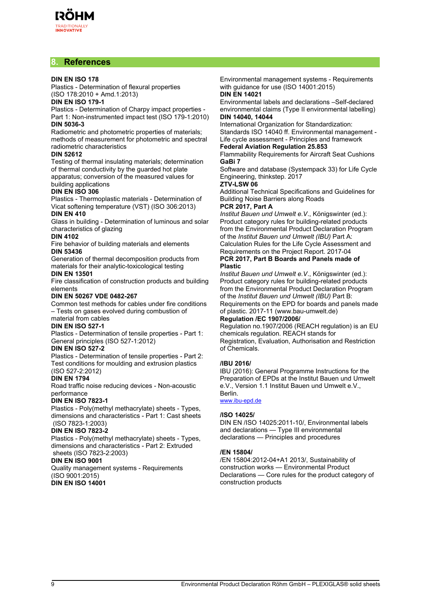# **8. References**

#### **DIN EN ISO 178**

Plastics - Determination of flexural properties (ISO 178:2010 + Amd.1:2013)

#### **DIN EN ISO 179-1**

Plastics - Determination of Charpy impact properties - Part 1: Non-instrumented impact test (ISO 179-1:2010) **DIN 5036-3**

Radiometric and photometric properties of materials; methods of measurement for photometric and spectral radiometric characteristics

#### **DIN 52612**

Testing of thermal insulating materials; determination of thermal conductivity by the guarded hot plate apparatus; conversion of the measured values for building applications

#### **DIN EN ISO 306**

Plastics - Thermoplastic materials - Determination of Vicat softening temperature (VST) (ISO 306:2013) **DIN EN 410**

Glass in building - Determination of luminous and solar characteristics of glazing

## **DIN 4102**

Fire behavior of building materials and elements **DIN 53436**

Generation of thermal decomposition products from materials for their analytic-toxicological testing

#### **DIN EN 13501**

Fire classification of construction products and building elements

#### **DIN EN 50267 VDE 0482-267**

Common test methods for cables under fire conditions – Tests on gases evolved during combustion of

# material from cables

**DIN EN ISO 527-1**

Plastics - Determination of tensile properties - Part 1: General principles (ISO 527-1:2012)

#### **DIN EN ISO 527-2**

Plastics - Determination of tensile properties - Part 2: Test conditions for moulding and extrusion plastics

#### (ISO 527-2:2012) **DIN EN 1794**

Road traffic noise reducing devices - Non-acoustic performance

#### **DIN EN ISO 7823-1**

Plastics - Poly(methyl methacrylate) sheets - Types, dimensions and characteristics - Part 1: Cast sheets (ISO 7823-1:2003)

#### **DIN EN ISO 7823-2**

Plastics - Poly(methyl methacrylate) sheets - Types, dimensions and characteristics - Part 2: Extruded sheets (ISO 7823-2:2003)

#### **DIN EN ISO 9001**

Quality management systems - Requirements (ISO 9001:2015) **DIN EN ISO 14001**

Environmental management systems - Requirements with guidance for use (ISO 14001:2015) **DIN EN 14021**

Environmental labels and declarations –Self-declared environmental claims (Type II environmental labelling) **DIN 14040, 14044**

#### International Organization for Standardization:

Standards ISO 14040 ff. Environmental management - Life cycle assessment - Principles and framework

# **Federal Aviation Regulation 25.853**

Flammability Requirements for Aircraft Seat Cushions **GaBi 7**

Software and database (Systempack 33) for Life Cycle Engineering, thinkstep. 2017

### **ZTV-LSW 06**

Additional Technical Specifications and Guidelines for Building Noise Barriers along Roads

#### **PCR 2017, Part A**

*Institut Bauen und Umwelt e.V*., Königswinter (ed.): Product category rules for building-related products from the Environmental Product Declaration Program of the *Institut Bauen und Umwelt (IBU)* Part A: Calculation Rules for the Life Cycle Assessment and Requirements on the Project Report. 2017-04 **PCR 2017, Part B Boards and Panels made of Plastic**

*Institut Bauen und Umwelt e.V*., Königswinter (ed.): Product category rules for building-related products from the Environmental Product Declaration Program of the *Institut Bauen und Umwelt (IBU)* Part B: Requirements on the EPD for boards and panels made of plastic. 2017-11 (www.bau-umwelt.de)

#### **Regulation /EC 1907/2006/**

Regulation no.1907/2006 (REACH regulation) is an EU chemicals regulation. REACH stands for Registration, Evaluation, Authorisation and Restriction of Chemicals.

#### **/IBU 2016/**

IBU (2016): General Programme Instructions for the Preparation of EPDs at the Institut Bauen und Umwelt e.V., Version 1.1 Institut Bauen und Umwelt e.V., Berlin.

#### [www.ibu-epd.de](http://www.bau-umwelt.de)

#### **/ISO 14025/**

DIN EN /ISO 14025:2011-10/, Environmental labels and declarations — Type III environmental declarations — Principles and procedures

#### **/EN 15804/**

/EN 15804:2012-04+A1 2013/, Sustainability of construction works — Environmental Product Declarations — Core rules for the product category of construction products